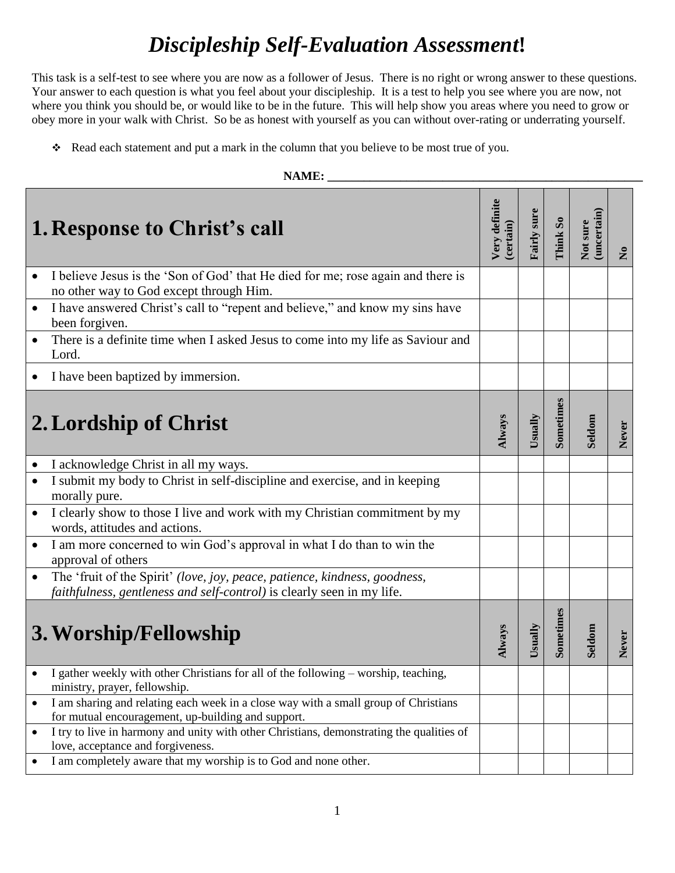# *Discipleship Self-Evaluation Assessment***!**

This task is a self-test to see where you are now as a follower of Jesus. There is no right or wrong answer to these questions. Your answer to each question is what you feel about your discipleship. It is a test to help you see where you are now, not where you think you should be, or would like to be in the future. This will help show you areas where you need to grow or obey more in your walk with Christ. So be as honest with yourself as you can without over-rating or underrating yourself.

\* Read each statement and put a mark in the column that you believe to be most true of you.

| NAME:                                                                                                                                                             |                            |                    |           |                         |              |
|-------------------------------------------------------------------------------------------------------------------------------------------------------------------|----------------------------|--------------------|-----------|-------------------------|--------------|
| <b>1. Response to Christ's call</b>                                                                                                                               | Very definite<br>(certain) | <b>Fairly sure</b> | Think So  | (uncertain)<br>Not sure | $\mathbf{z}$ |
| I believe Jesus is the 'Son of God' that He died for me; rose again and there is<br>no other way to God except through Him.                                       |                            |                    |           |                         |              |
| I have answered Christ's call to "repent and believe," and know my sins have<br>$\bullet$<br>been forgiven.                                                       |                            |                    |           |                         |              |
| There is a definite time when I asked Jesus to come into my life as Saviour and<br>$\bullet$<br>Lord.                                                             |                            |                    |           |                         |              |
| I have been baptized by immersion.                                                                                                                                |                            |                    |           |                         |              |
| 2. Lordship of Christ                                                                                                                                             | Always                     | Usually            | Sometimes | Seldom                  | Never        |
| I acknowledge Christ in all my ways.<br>$\bullet$                                                                                                                 |                            |                    |           |                         |              |
| I submit my body to Christ in self-discipline and exercise, and in keeping<br>$\bullet$<br>morally pure.                                                          |                            |                    |           |                         |              |
| I clearly show to those I live and work with my Christian commitment by my<br>$\bullet$<br>words, attitudes and actions.                                          |                            |                    |           |                         |              |
| I am more concerned to win God's approval in what I do than to win the<br>$\bullet$<br>approval of others                                                         |                            |                    |           |                         |              |
| The 'fruit of the Spirit' (love, joy, peace, patience, kindness, goodness,<br>$\bullet$<br>faithfulness, gentleness and self-control) is clearly seen in my life. |                            |                    |           |                         |              |
| 3. Worship/Fellowship                                                                                                                                             | Always                     | $Us$ ually         | Sometimes | Seldom                  | Never        |
| I gather weekly with other Christians for all of the following - worship, teaching,<br>ministry, prayer, fellowship.                                              |                            |                    |           |                         |              |
| I am sharing and relating each week in a close way with a small group of Christians<br>$\bullet$<br>for mutual encouragement, up-building and support.            |                            |                    |           |                         |              |
| I try to live in harmony and unity with other Christians, demonstrating the qualities of<br>$\bullet$<br>love, acceptance and forgiveness.                        |                            |                    |           |                         |              |
| I am completely aware that my worship is to God and none other.                                                                                                   |                            |                    |           |                         |              |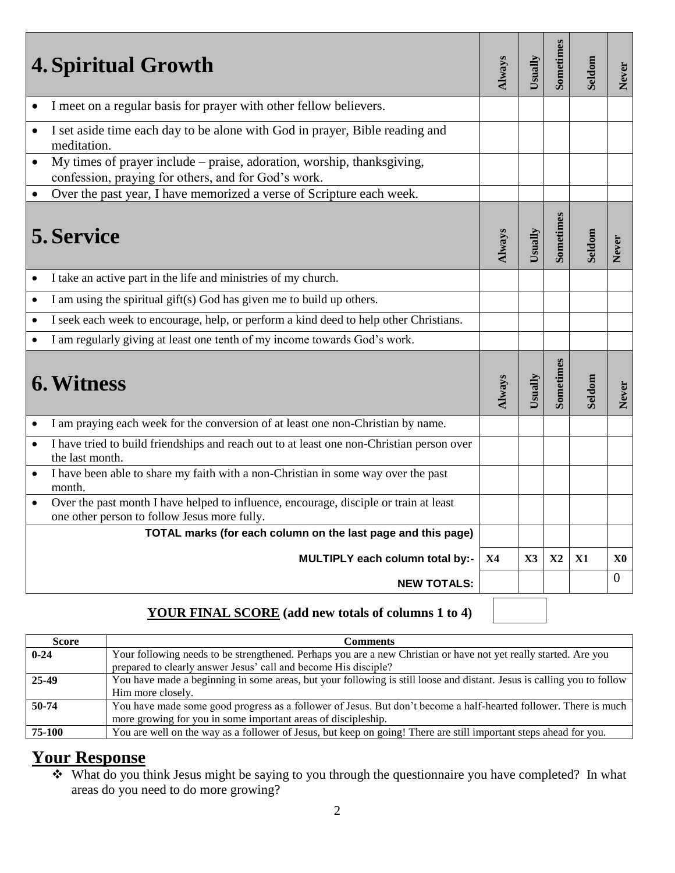| <b>4. Spiritual Growth</b>                                                                                                                 | Always | Usually        | Sometimes     | Seldom | Never          |
|--------------------------------------------------------------------------------------------------------------------------------------------|--------|----------------|---------------|--------|----------------|
| I meet on a regular basis for prayer with other fellow believers.                                                                          |        |                |               |        |                |
| I set aside time each day to be alone with God in prayer, Bible reading and<br>$\bullet$<br>meditation.                                    |        |                |               |        |                |
| My times of prayer include – praise, adoration, worship, thanksgiving,<br>$\bullet$<br>confession, praying for others, and for God's work. |        |                |               |        |                |
| Over the past year, I have memorized a verse of Scripture each week.<br>$\bullet$                                                          |        |                |               |        |                |
| 5. Service                                                                                                                                 | Always | Usually        | Sometimes     | Seldom | Never          |
| I take an active part in the life and ministries of my church.<br>$\bullet$                                                                |        |                |               |        |                |
| I am using the spiritual gift(s) God has given me to build up others.<br>$\bullet$                                                         |        |                |               |        |                |
| I seek each week to encourage, help, or perform a kind deed to help other Christians.<br>$\bullet$                                         |        |                |               |        |                |
| I am regularly giving at least one tenth of my income towards God's work.                                                                  |        |                |               |        |                |
| <b>6. Witness</b>                                                                                                                          | Always | Usually        | Sometimes     | Seldom | Never          |
| I am praying each week for the conversion of at least one non-Christian by name.                                                           |        |                |               |        |                |
| I have tried to build friendships and reach out to at least one non-Christian person over<br>$\bullet$<br>the last month.                  |        |                |               |        |                |
| I have been able to share my faith with a non-Christian in some way over the past<br>month.                                                |        |                |               |        |                |
| Over the past month I have helped to influence, encourage, disciple or train at least<br>one other person to follow Jesus more fully.      |        |                |               |        |                |
| TOTAL marks (for each column on the last page and this page)                                                                               |        |                |               |        |                |
| MULTIPLY each column total by:-                                                                                                            | X4     | $\mathbf{X}$ 3 | $\mathbf{X}2$ | X1     | X0             |
| <b>NEW TOTALS:</b>                                                                                                                         |        |                |               |        | $\overline{0}$ |

## **YOUR FINAL SCORE (add new totals of columns 1 to 4)**

| Score    | Comments                                                                                                               |
|----------|------------------------------------------------------------------------------------------------------------------------|
|          |                                                                                                                        |
| $0 - 24$ | Your following needs to be strengthened. Perhaps you are a new Christian or have not yet really started. Are you       |
|          | prepared to clearly answer Jesus' call and become His disciple?                                                        |
| 25-49    | You have made a beginning in some areas, but your following is still loose and distant. Jesus is calling you to follow |
|          | Him more closely.                                                                                                      |
| 50-74    | You have made some good progress as a follower of Jesus. But don't become a half-hearted follower. There is much       |
|          | more growing for you in some important areas of discipleship.                                                          |
| 75-100   | You are well on the way as a follower of Jesus, but keep on going! There are still important steps ahead for you.      |

## **Your Response**

 What do you think Jesus might be saying to you through the questionnaire you have completed? In what areas do you need to do more growing?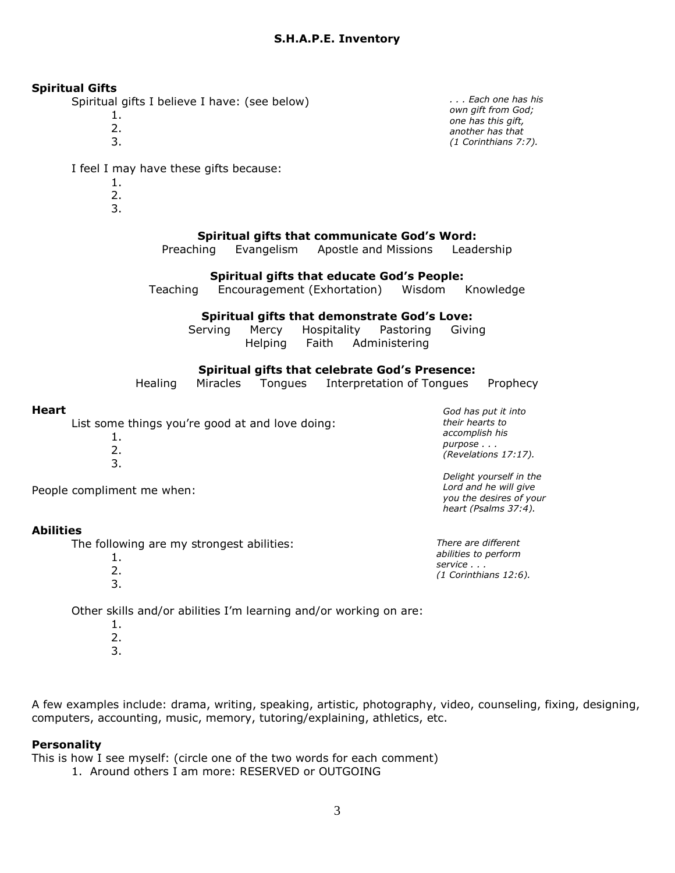#### **Spiritual Gifts**

Spiritual gifts I believe I have: (see below)

- 1.
	- 2.
	- 3.

I feel I may have these gifts because:

- 1.
- 2.
- 3.

### **Spiritual gifts that communicate God's Word:**

Preaching Evangelism Apostle and Missions Leadership

#### **Spiritual gifts that educate God's People:**

Teaching Encouragement (Exhortation) Wisdom Knowledge

#### **Spiritual gifts that demonstrate God's Love:**

| Serving | Mercy   | Hospitality | Pastoring           | Giving |
|---------|---------|-------------|---------------------|--------|
|         | Helping |             | Faith Administering |        |

#### **Spiritual gifts that celebrate God's Presence:**

|  | Healing Miracles Tongues |  | Interpretation of Tongues Prophecy |  |
|--|--------------------------|--|------------------------------------|--|
|--|--------------------------|--|------------------------------------|--|

#### **Heart**

List some things you're good at and love doing:

1. 2. 3. *accomplish his purpose . . . (Revelations 17:17). Delight yourself in the Lord and he will give* 

People compliment me when:

#### **Abilities**

The following are my strongest abilities:

1. 2. 3. *There are different abilities to perform service . . . (1 Corinthians 12:6).*

*you the desires of your heart (Psalms 37:4).*

*God has put it into their hearts to* 

Other skills and/or abilities I'm learning and/or working on are:

- 1.
- 2. 3.

A few examples include: drama, writing, speaking, artistic, photography, video, counseling, fixing, designing, computers, accounting, music, memory, tutoring/explaining, athletics, etc.

#### **Personality**

This is how I see myself: (circle one of the two words for each comment)

1. Around others I am more: RESERVED or OUTGOING

*. . . Each one has his own gift from God; one has this gift, another has that (1 Corinthians 7:7).*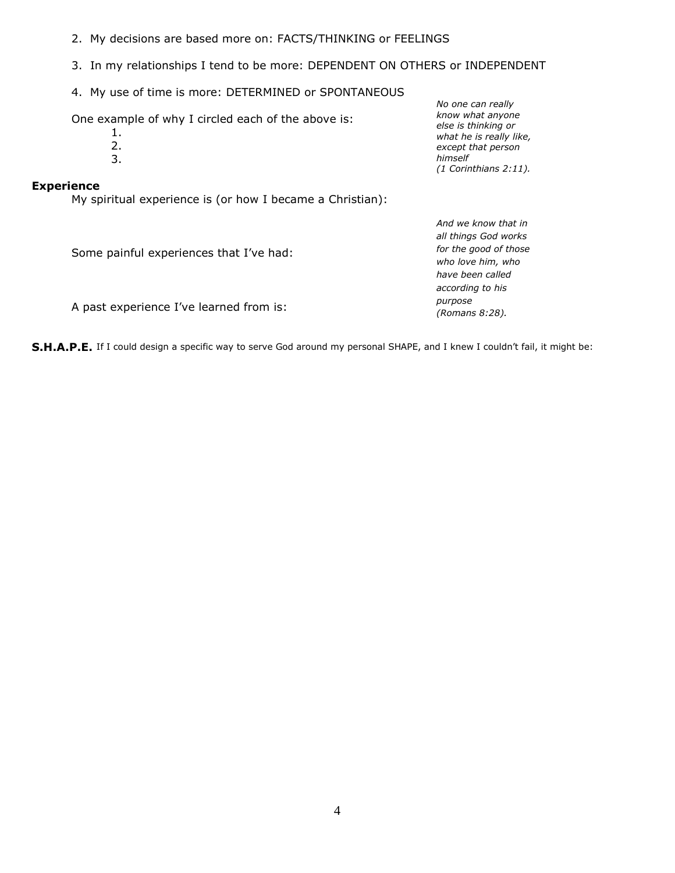- 2. My decisions are based more on: FACTS/THINKING or FEELINGS
- 3. In my relationships I tend to be more: DEPENDENT ON OTHERS or INDEPENDENT
- 4. My use of time is more: DETERMINED or SPONTANEOUS

One example of why I circled each of the above is:

- 1. 2.
- 3.
- 

#### **Experience**

My spiritual experience is (or how I became a Christian):

*No one can really know what anyone else is thinking or what he is really like, except that person himself (1 Corinthians 2:11).*

*And we know that in* 

| Some painful experiences that I've had: | all things God works<br>for the good of those<br>who love him, who<br>have been called |
|-----------------------------------------|----------------------------------------------------------------------------------------|
|                                         | according to his                                                                       |
| A past experience I've learned from is: | purpose<br>(Romans 8:28).                                                              |

**S.H.A.P.E.** If I could design a specific way to serve God around my personal SHAPE, and I knew I couldn't fail, it might be: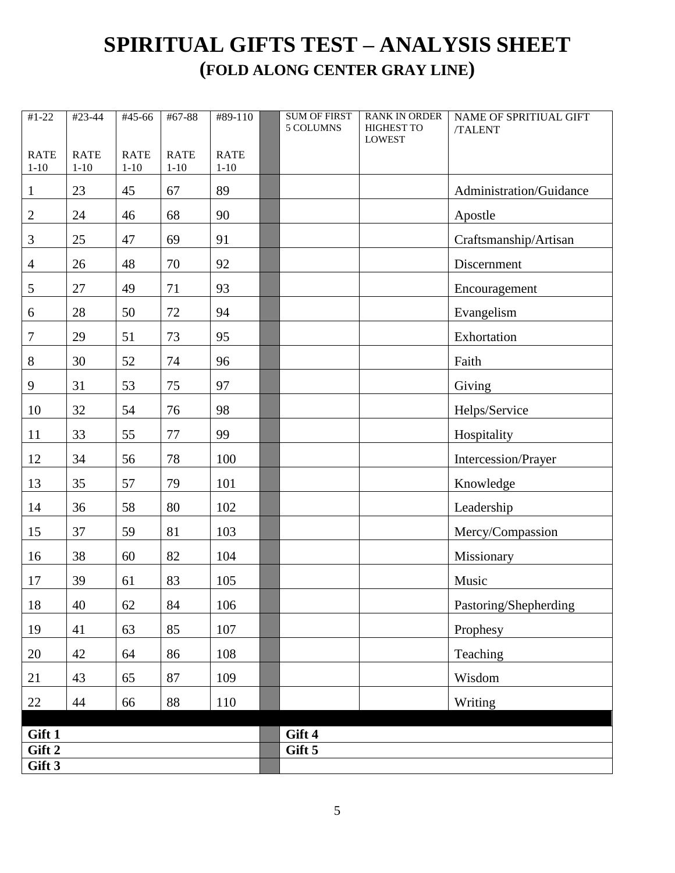## **SPIRITUAL GIFTS TEST – ANALYSIS SHEET (FOLD ALONG CENTER GRAY LINE)**

| $#1-22$        | #23-44      | #45-66      | #67-88      | #89-110     | <b>SUM OF FIRST</b><br>5 COLUMNS | <b>RANK IN ORDER</b><br>HIGHEST TO | <b>NAME OF SPRITIUAL GIFT</b><br>/TALENT |
|----------------|-------------|-------------|-------------|-------------|----------------------------------|------------------------------------|------------------------------------------|
| <b>RATE</b>    | <b>RATE</b> | <b>RATE</b> | <b>RATE</b> | <b>RATE</b> |                                  | <b>LOWEST</b>                      |                                          |
| $1 - 10$       | $1 - 10$    | $1 - 10$    | $1 - 10$    | $1 - 10$    |                                  |                                    |                                          |
| $\mathbf{1}$   | 23          | 45          | 67          | 89          |                                  |                                    | Administration/Guidance                  |
| $\mathbf{2}$   | 24          | 46          | 68          | 90          |                                  |                                    | Apostle                                  |
| $\mathfrak{Z}$ | 25          | 47          | 69          | 91          |                                  |                                    | Craftsmanship/Artisan                    |
| $\overline{4}$ | 26          | 48          | 70          | 92          |                                  |                                    | Discernment                              |
| 5              | 27          | 49          | 71          | 93          |                                  |                                    | Encouragement                            |
| 6              | 28          | 50          | $72\,$      | 94          |                                  |                                    | Evangelism                               |
| 7              | 29          | 51          | 73          | 95          |                                  |                                    | Exhortation                              |
| 8              | 30          | 52          | 74          | 96          |                                  |                                    | Faith                                    |
| 9              | 31          | 53          | 75          | 97          |                                  |                                    | Giving                                   |
| 10             | 32          | 54          | 76          | 98          |                                  |                                    | Helps/Service                            |
| 11             | 33          | 55          | 77          | 99          |                                  |                                    | Hospitality                              |
| 12             | 34          | 56          | 78          | 100         |                                  |                                    | Intercession/Prayer                      |
| 13             | 35          | 57          | 79          | 101         |                                  |                                    | Knowledge                                |
| 14             | 36          | 58          | 80          | 102         |                                  |                                    | Leadership                               |
| 15             | 37          | 59          | 81          | 103         |                                  |                                    | Mercy/Compassion                         |
| 16             | 38          | 60          | 82          | 104         |                                  |                                    | Missionary                               |
| 17             | 39          | 61          | 83          | 105         |                                  |                                    | Music                                    |
| 18             | 40          | 62          | 84          | 106         |                                  |                                    | Pastoring/Shepherding                    |
| 19             | 41          | 63          | 85          | 107         |                                  |                                    | Prophesy                                 |
| 20             | 42          | 64          | 86          | 108         |                                  |                                    | Teaching                                 |
| 21             | 43          | 65          | 87          | 109         |                                  |                                    | Wisdom                                   |
| 22             | 44          | 66          | 88          | 110         |                                  |                                    | Writing                                  |
| Gift 1         |             |             |             |             | Gift 4                           |                                    |                                          |
| Gift 2         |             |             |             |             | Gift 5                           |                                    |                                          |
| Gift 3         |             |             |             |             |                                  |                                    |                                          |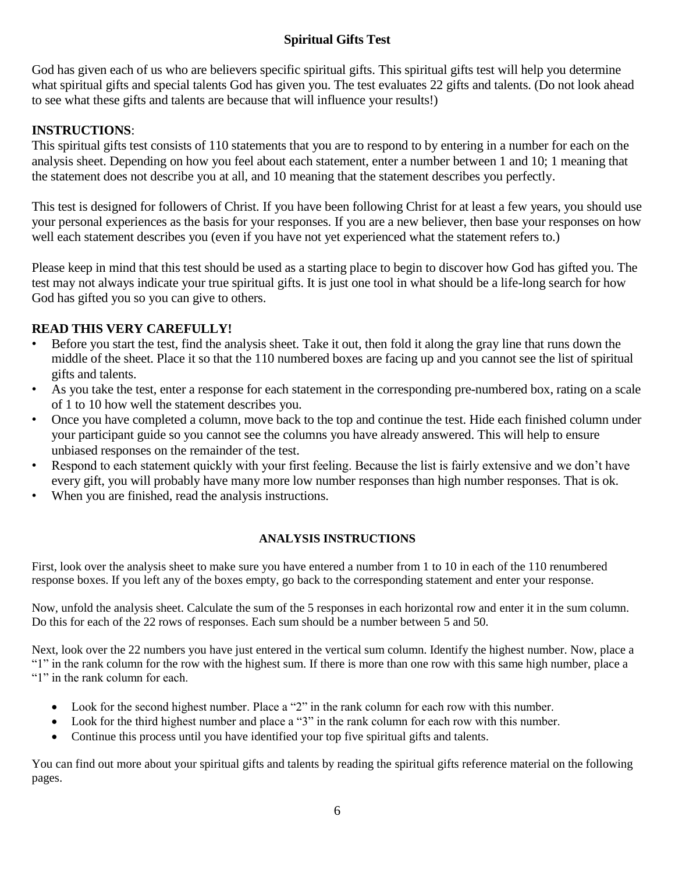## **Spiritual Gifts Test**

God has given each of us who are believers specific spiritual gifts. This spiritual gifts test will help you determine what spiritual gifts and special talents God has given you. The test evaluates 22 gifts and talents. (Do not look ahead to see what these gifts and talents are because that will influence your results!)

## **INSTRUCTIONS**:

This spiritual gifts test consists of 110 statements that you are to respond to by entering in a number for each on the analysis sheet. Depending on how you feel about each statement, enter a number between 1 and 10; 1 meaning that the statement does not describe you at all, and 10 meaning that the statement describes you perfectly.

This test is designed for followers of Christ. If you have been following Christ for at least a few years, you should use your personal experiences as the basis for your responses. If you are a new believer, then base your responses on how well each statement describes you (even if you have not yet experienced what the statement refers to.)

Please keep in mind that this test should be used as a starting place to begin to discover how God has gifted you. The test may not always indicate your true spiritual gifts. It is just one tool in what should be a life-long search for how God has gifted you so you can give to others.

## **READ THIS VERY CAREFULLY!**

- Before you start the test, find the analysis sheet. Take it out, then fold it along the gray line that runs down the middle of the sheet. Place it so that the 110 numbered boxes are facing up and you cannot see the list of spiritual gifts and talents.
- As you take the test, enter a response for each statement in the corresponding pre-numbered box, rating on a scale of 1 to 10 how well the statement describes you.
- Once you have completed a column, move back to the top and continue the test. Hide each finished column under your participant guide so you cannot see the columns you have already answered. This will help to ensure unbiased responses on the remainder of the test.
- Respond to each statement quickly with your first feeling. Because the list is fairly extensive and we don't have every gift, you will probably have many more low number responses than high number responses. That is ok.
- When you are finished, read the analysis instructions.

### **ANALYSIS INSTRUCTIONS**

First, look over the analysis sheet to make sure you have entered a number from 1 to 10 in each of the 110 renumbered response boxes. If you left any of the boxes empty, go back to the corresponding statement and enter your response.

Now, unfold the analysis sheet. Calculate the sum of the 5 responses in each horizontal row and enter it in the sum column. Do this for each of the 22 rows of responses. Each sum should be a number between 5 and 50.

Next, look over the 22 numbers you have just entered in the vertical sum column. Identify the highest number. Now, place a "1" in the rank column for the row with the highest sum. If there is more than one row with this same high number, place a "1" in the rank column for each.

- Look for the second highest number. Place a "2" in the rank column for each row with this number.
- Look for the third highest number and place a "3" in the rank column for each row with this number.
- Continue this process until you have identified your top five spiritual gifts and talents.

You can find out more about your spiritual gifts and talents by reading the spiritual gifts reference material on the following pages.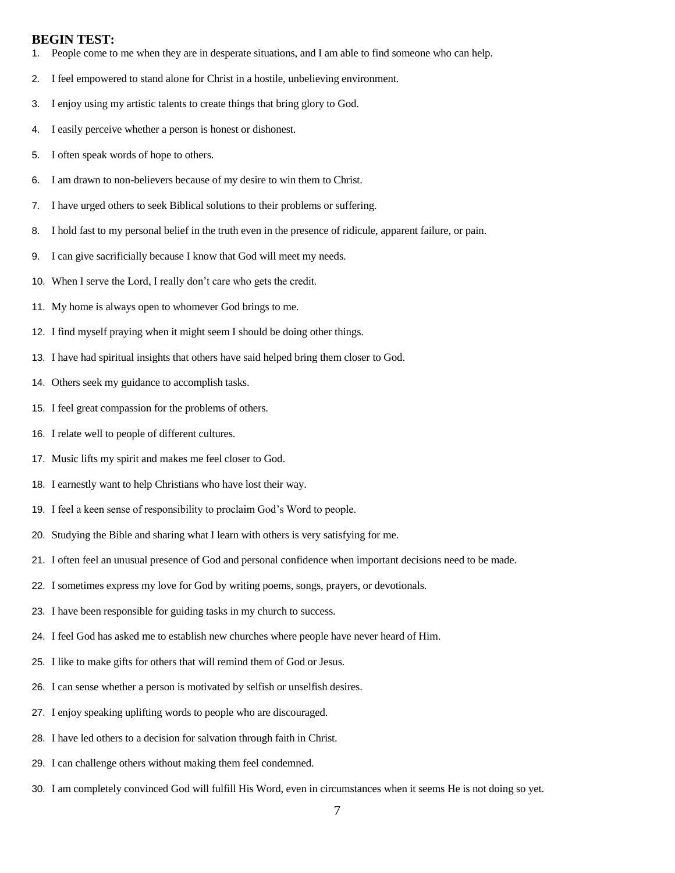#### **BEGIN TEST:**

- 1. People come to me when they are in desperate situations, and I am able to find someone who can help.
- 2. I feel empowered to stand alone for Christ in a hostile, unbelieving environment.
- 3. I enjoy using my artistic talents to create things that bring glory to God.
- 4. I easily perceive whether a person is honest or dishonest.
- 5. I often speak words of hope to others.
- 6. I am drawn to non-believers because of my desire to win them to Christ.
- 7. I have urged others to seek Biblical solutions to their problems or suffering.
- 8. I hold fast to my personal belief in the truth even in the presence of ridicule, apparent failure, or pain.
- 9. I can give sacrificially because I know that God will meet my needs.
- 10. When I serve the Lord, I really don't care who gets the credit.
- 11. My home is always open to whomever God brings to me.
- 12. I find myself praying when it might seem I should be doing other things.
- 13. I have had spiritual insights that others have said helped bring them closer to God.
- 14. Others seek my guidance to accomplish tasks.
- 15. I feel great compassion for the problems of others.
- 16. I relate well to people of different cultures.
- 17. Music lifts my spirit and makes me feel closer to God.
- 18. I earnestly want to help Christians who have lost their way.
- 19. I feel a keen sense of responsibility to proclaim God's Word to people.
- 20. Studying the Bible and sharing what I learn with others is very satisfying for me.
- 21. I often feel an unusual presence of God and personal confidence when important decisions need to be made.
- 22. I sometimes express my love for God by writing poems, songs, prayers, or devotionals.
- 23. I have been responsible for guiding tasks in my church to success.
- 24. I feel God has asked me to establish new churches where people have never heard of Him.
- 25. I like to make gifts for others that will remind them of God or Jesus.
- 26. I can sense whether a person is motivated by selfish or unselfish desires.
- 27. I enjoy speaking uplifting words to people who are discouraged.
- 28. I have led others to a decision for salvation through faith in Christ.
- 29. I can challenge others without making them feel condemned.
- 30. I am completely convinced God will fulfill His Word, even in circumstances when it seems He is not doing so yet.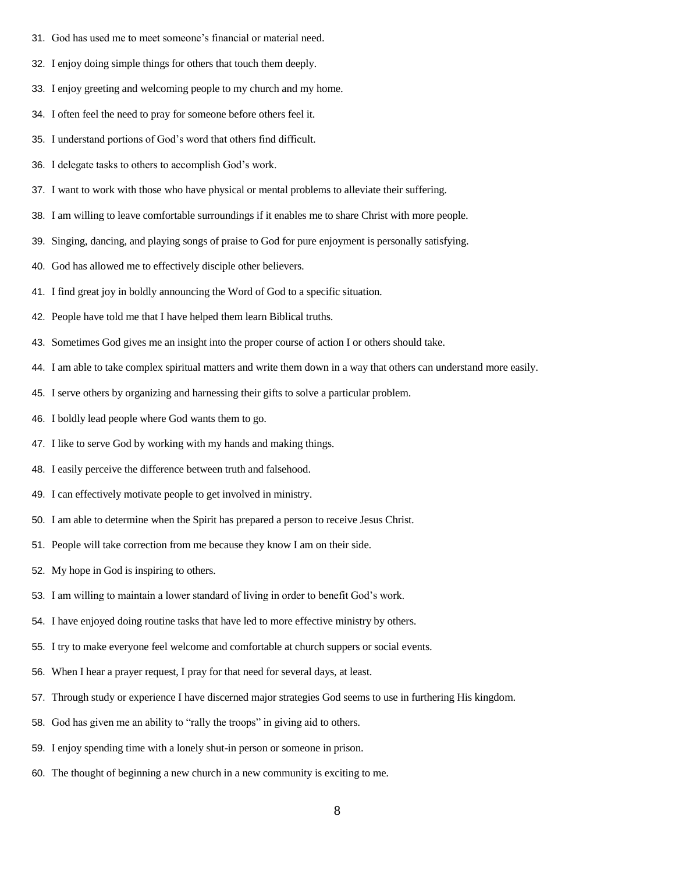- 31. God has used me to meet someone's financial or material need.
- 32. I enjoy doing simple things for others that touch them deeply.
- 33. I enjoy greeting and welcoming people to my church and my home.
- 34. I often feel the need to pray for someone before others feel it.
- 35. I understand portions of God's word that others find difficult.
- 36. I delegate tasks to others to accomplish God's work.
- 37. I want to work with those who have physical or mental problems to alleviate their suffering.
- 38. I am willing to leave comfortable surroundings if it enables me to share Christ with more people.
- 39. Singing, dancing, and playing songs of praise to God for pure enjoyment is personally satisfying.
- 40. God has allowed me to effectively disciple other believers.
- 41. I find great joy in boldly announcing the Word of God to a specific situation.
- 42. People have told me that I have helped them learn Biblical truths.
- 43. Sometimes God gives me an insight into the proper course of action I or others should take.
- 44. I am able to take complex spiritual matters and write them down in a way that others can understand more easily.
- 45. I serve others by organizing and harnessing their gifts to solve a particular problem.
- 46. I boldly lead people where God wants them to go.
- 47. I like to serve God by working with my hands and making things.
- 48. I easily perceive the difference between truth and falsehood.
- 49. I can effectively motivate people to get involved in ministry.
- 50. I am able to determine when the Spirit has prepared a person to receive Jesus Christ.
- 51. People will take correction from me because they know I am on their side.
- 52. My hope in God is inspiring to others.
- 53. I am willing to maintain a lower standard of living in order to benefit God's work.
- 54. I have enjoyed doing routine tasks that have led to more effective ministry by others.
- 55. I try to make everyone feel welcome and comfortable at church suppers or social events.
- 56. When I hear a prayer request, I pray for that need for several days, at least.
- 57. Through study or experience I have discerned major strategies God seems to use in furthering His kingdom.
- 58. God has given me an ability to "rally the troops" in giving aid to others.
- 59. I enjoy spending time with a lonely shut-in person or someone in prison.
- 60. The thought of beginning a new church in a new community is exciting to me.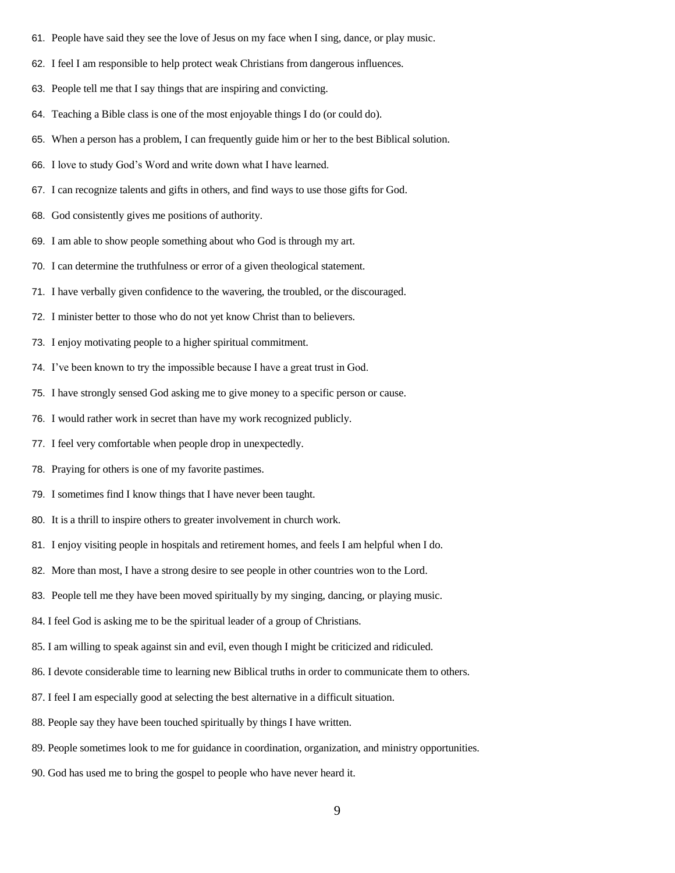- 61. People have said they see the love of Jesus on my face when I sing, dance, or play music.
- 62. I feel I am responsible to help protect weak Christians from dangerous influences.
- 63. People tell me that I say things that are inspiring and convicting.
- 64. Teaching a Bible class is one of the most enjoyable things I do (or could do).
- 65. When a person has a problem, I can frequently guide him or her to the best Biblical solution.
- 66. I love to study God's Word and write down what I have learned.
- 67. I can recognize talents and gifts in others, and find ways to use those gifts for God.
- 68. God consistently gives me positions of authority.
- 69. I am able to show people something about who God is through my art.
- 70. I can determine the truthfulness or error of a given theological statement.
- 71. I have verbally given confidence to the wavering, the troubled, or the discouraged.
- 72. I minister better to those who do not yet know Christ than to believers.
- 73. I enjoy motivating people to a higher spiritual commitment.
- 74. I've been known to try the impossible because I have a great trust in God.
- 75. I have strongly sensed God asking me to give money to a specific person or cause.
- 76. I would rather work in secret than have my work recognized publicly.
- 77. I feel very comfortable when people drop in unexpectedly.
- 78. Praying for others is one of my favorite pastimes.
- 79. I sometimes find I know things that I have never been taught.
- 80. It is a thrill to inspire others to greater involvement in church work.
- 81. I enjoy visiting people in hospitals and retirement homes, and feels I am helpful when I do.
- 82. More than most, I have a strong desire to see people in other countries won to the Lord.
- 83. People tell me they have been moved spiritually by my singing, dancing, or playing music.
- 84. I feel God is asking me to be the spiritual leader of a group of Christians.
- 85. I am willing to speak against sin and evil, even though I might be criticized and ridiculed.
- 86. I devote considerable time to learning new Biblical truths in order to communicate them to others.
- 87. I feel I am especially good at selecting the best alternative in a difficult situation.
- 88. People say they have been touched spiritually by things I have written.
- 89. People sometimes look to me for guidance in coordination, organization, and ministry opportunities.
- 90. God has used me to bring the gospel to people who have never heard it.